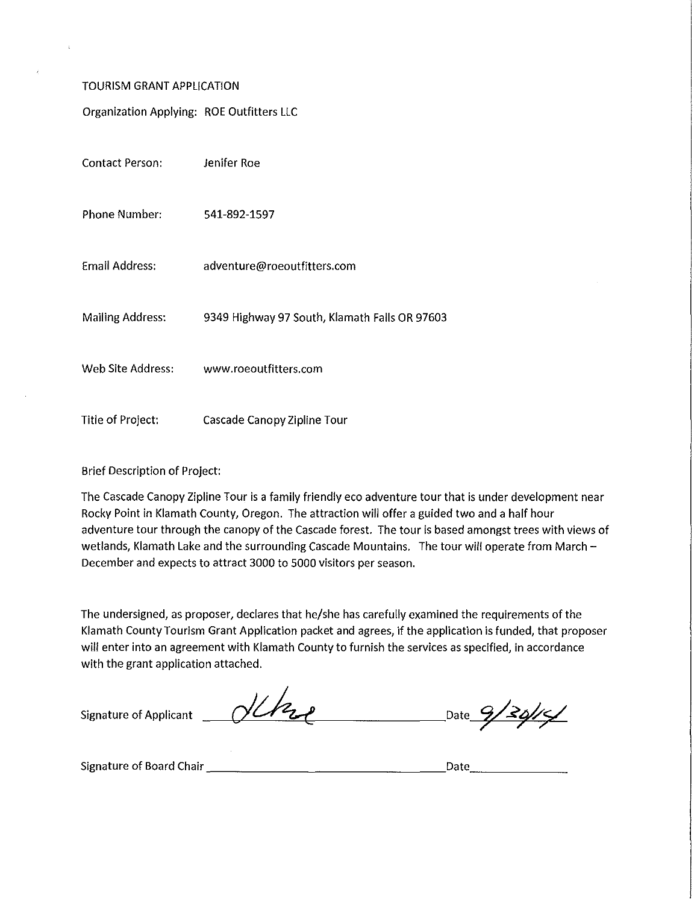#### TOURISM GRANT APPLICATION

Organization Applying: ROE Outfitters LLC

| <b>Contact Person:</b>  | Jenifer Roe                                   |
|-------------------------|-----------------------------------------------|
| Phone Number:           | 541-892-1597                                  |
| <b>Email Address:</b>   | adventure@roeoutfitters.com                   |
| <b>Mailing Address:</b> | 9349 Highway 97 South, Klamath Falls OR 97603 |
| Web Site Address:       | www.roeoutfitters.com                         |
| Title of Project:       | Cascade Canopy Zipline Tour                   |

### Brief Description of Project:

The Cascade Canopy Zipline Tour is a family friendly eco adventure tour that is under development near Rocky Point in Klamath County, Oregon. The attraction will offer a guided two and a half hour adventure tour through the canopy of the Cascade forest. The tour is based amongst trees with views of wetlands, Klamath Lake and the surrounding Cascade Mountains. The tour will operate from March -December and expects to attract 3000 to 5000 visitors per season.

The undersigned, as proposer, declares that he/she has carefully examined the requirements of the Klamath County Tourism Grant Application packet and agrees, if the application is funded, that proposer will enter into an agreement with Klamath County to furnish the services as specified, in accordance with the grant application attached.

Signature of Applicant

debre Date  $9/30/5$ 

Signature of Board Chair \_\_\_\_\_\_\_\_\_\_\_\_\_\_\_\_ Date \_\_\_\_\_\_ \_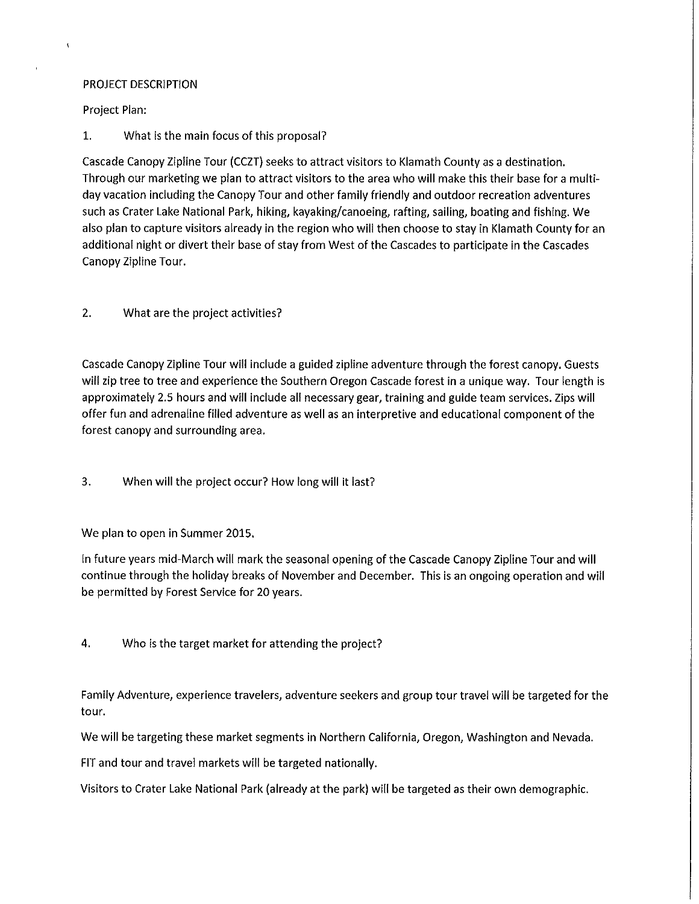### PROJECT DESCRIPTION

Project Plan:

 $\overline{\mathbf{r}}$ 

1. What is the main focus of this proposal?

Cascade Canopy Zipline Tour (CCZT) seeks to attract visitors to Klamath County as a destination. Through our marketing we plan to attract visitors to the area who will make this their base for a multiday vacation including the Canopy Tour and other family friendly and outdoor recreation adventures such as Crater Lake National Park, hiking, kayaking/canoeing, rafting, sailing, boating and fishing. We also plan to capture visitors already in the region who will then choose to stay in Klamath County for an additional night or divert their base of stay from West of the Cascades to participate in the Cascades Canopy Zipline Tour.

### 2. What are the project activities?

Cascade Canopy Zipline Tour will include a guided zipline adventure through the forest canopy. Guests will zip tree to tree and experience the Southern Oregon Cascade forest in a unique way. Tour length is approximately 2.5 hours and will include all necessary gear, training and guide team services. Zips will offer fun and adrenaline filled adventure as well as an interpretive and educational component of the forest canopy and surrounding area.

3. When will the project occur? How long will it last?

We plan to open in Summer 2015.

In future years mid-March will mark the seasonal opening of the Cascade Canopy Zipline Tour and will continue through the holiday breaks of November and December. This is an ongoing operation and will be permitted by Forest Service for 20 years.

4. Who is the target market for attending the project?

Family Adventure, experience travelers, adventure seekers and group tour travel will be targeted for the tour.

We will be targeting these market segments in Northern California, Oregon, Washington and Nevada.

FIT and tour and travel markets will be targeted nationally.

Visitors to Crater Lake National Park (already at the park) will be targeted as their own demographic.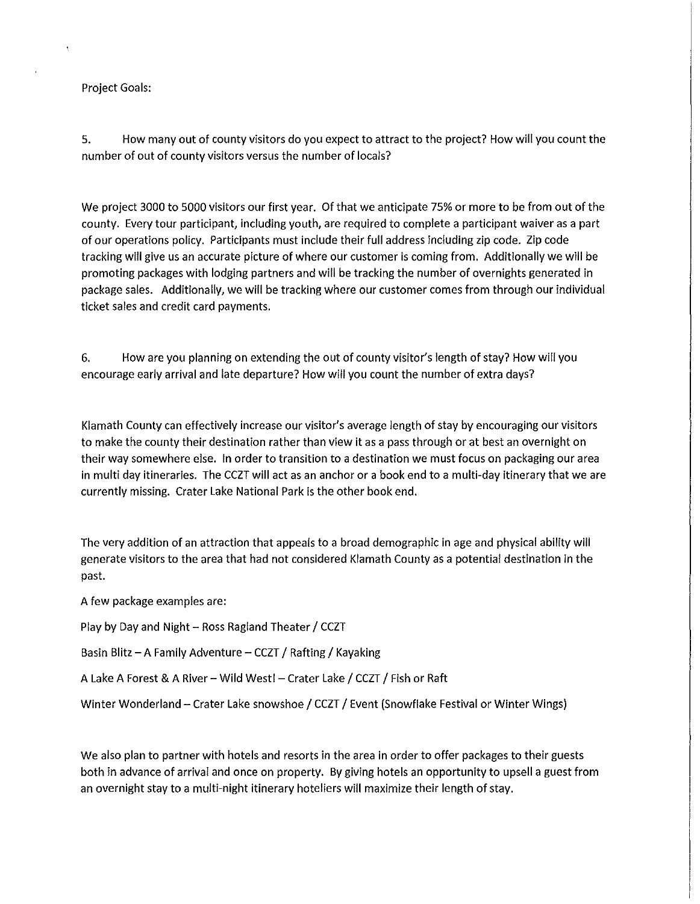### Project Goals:

5. How many out of county visitors do you expect to attract to the project? How will you count the number of out of county visitors versus the number of locals?

We project 3000 to 5000 visitors our first year. Of that we anticipate 75% or more to be from out of the county. Every tour participant, including youth, are required to complete a participant waiver as a part of our operations policy. Participants must include their full address including zip code. Zip code tracking will give us an accurate picture of where our customer is coming from. Additionally we will be promoting packages with lodging partners and will be tracking the number of overnights generated in package sales. Additionally, we will be tracking where our customer comes from through our individual ticket sales and credit card payments.

6. How are you planning on extending the out of county visitor's length of stay? How will you encourage early arrival and late departure? How will you count the number of extra days?

Klamath County can effectively increase our visitor's average length of stay by encouraging our visitors to make the county their destination rather than view it as a pass through or at best an overnight on their way somewhere else. In order to transition to a destination we must focus on packaging our area in multi day itineraries. The CCZT will act as an anchor or a book end to a multi-day itinerary that we are currently missing. Crater Lake National Park is the other book end.

The very addition of an attraction that appeals to a broad demographic in age and physical ability will generate visitors to the area that had not considered Klamath County as a potential destination in the past.

A few package examples are:

Play by Day and Night - Ross Ragland Theater / CCZT

Basin Blitz - A Family Adventure - CCZT / Rafting / Kayaking

A Lake A Forest & A River - Wild West! - Crater Lake / CCZT / Fish or Raft

Winter Wonderland - Crater Lake snowshoe / CCZT / Event (Snowflake Festival or Winter Wings)

We also plan to partner with hotels and resorts in the area in order to offer packages to their guests both in advance of arrival and once on property. By giving hotels an opportunity to upsell a guest from an overnight stay to a multi-night itinerary hoteliers will maximize their length of stay.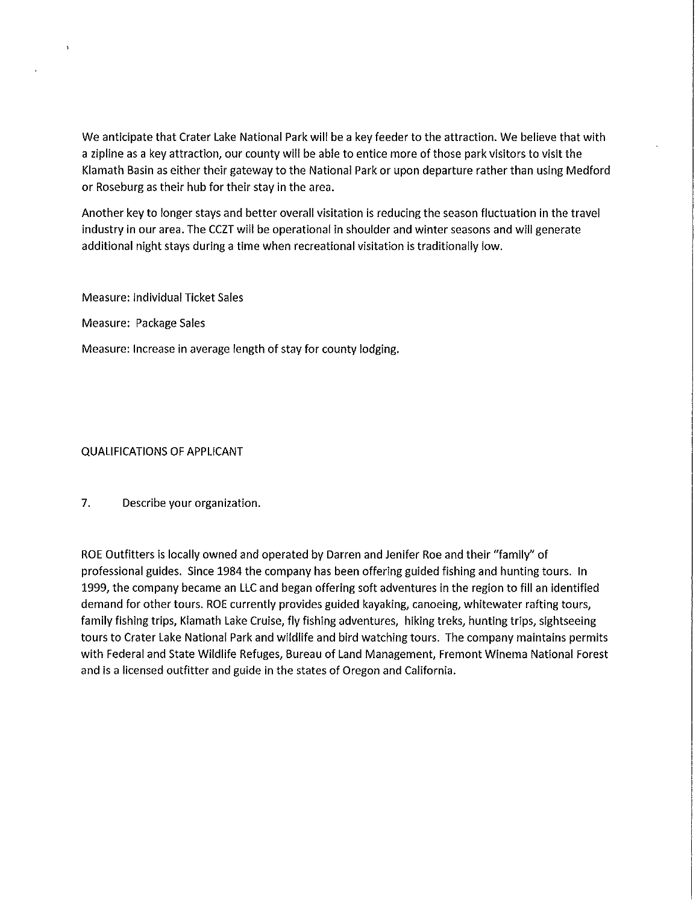We anticipate that Crater Lake National Park will be a key feeder to the attraction. We believe that with a zipline as a key attraction, our county will be able to entice more of those park visitors to visit the Klamath Basin as either their gateway to the National Park or upon departure rather than using Medford or Roseburg as their hub for their stay in the area.

Another key to longer stays and better overall visitation is reducing the season fluctuation in the travel industry in our area. The CCZT will be operational in shoulder and winter seasons and will generate additional night stays during a time when recreational visitation is traditionally low.

Measure: Individual Ticket Sales

Measure: Package Sales

Measure: Increase in average length of stay for county lodging.

QUALIFICATIONS OF APPLICANT

7. Describe your organization.

ROE Outfitters is locally owned and operated by Darren and Jenifer Roe and their "family" of professional guides. Since 1984 the company has been offering guided fishing and hunting tours. In 1999, the company became an LLC and began offering soft adventures in the region to fill an identified demand for other tours. ROE currently provides guided kayaking, canoeing, whitewater rafting tours, family fishing trips, Klamath Lake Cruise, fly fishing adventures, hiking treks, hunting trips, sightseeing tours to Crater Lake National Park and wildlife and bird watching tours. The company maintains permits with Federal and State Wildlife Refuges, Bureau of Land Management, Fremont Winema National Forest and is a licensed outfitter and guide in the states of Oregon and California.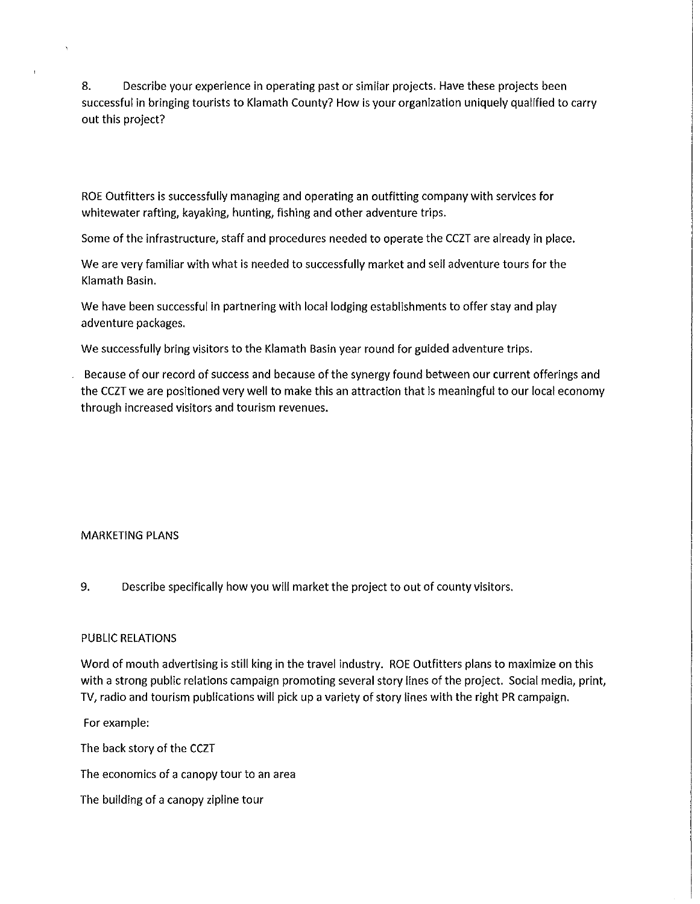8. Describe your experience in operating past or similar projects. Have these projects been successful in bringing tourists to Klamath County? How is your organization uniquely qualified to carry out this project?

ROE Outfitters is successfully managing and operating an outfitting company with services for whitewater rafting, kayaking, hunting, fishing and other adventure trips.

Some of the infrastructure, staff and procedures needed to operate the CCZT are already in place.

We are very familiar with what is needed to successfully market and sell adventure tours for the Klamath Basin.

We have been successful in partnering with local lodging establishments to offer stay and play adventure packages.

We successfully bring visitors to the Klamath Basin year round for guided adventure trips.

Because of our record of success and because of the synergy found between our current offerings and the CCZT we are positioned very well to make this an attraction that is meaningful to our local economy through increased visitors and tourism revenues.

### MARKETING PLANS

9. Describe specifically how you will market the project to out of county visitors.

### PUBLIC RELATIONS

Word of mouth advertising is still king in the travel industry. ROE Outfitters plans to maximize on this with a strong public relations campaign promoting several story lines of the project. Social media, print, TV, radio and tourism publications will pick up a variety of story lines with the right PR campaign.

For example:

The back story of the CCZT

The economics of a canopy tour to an area

The building of a canopy zipline tour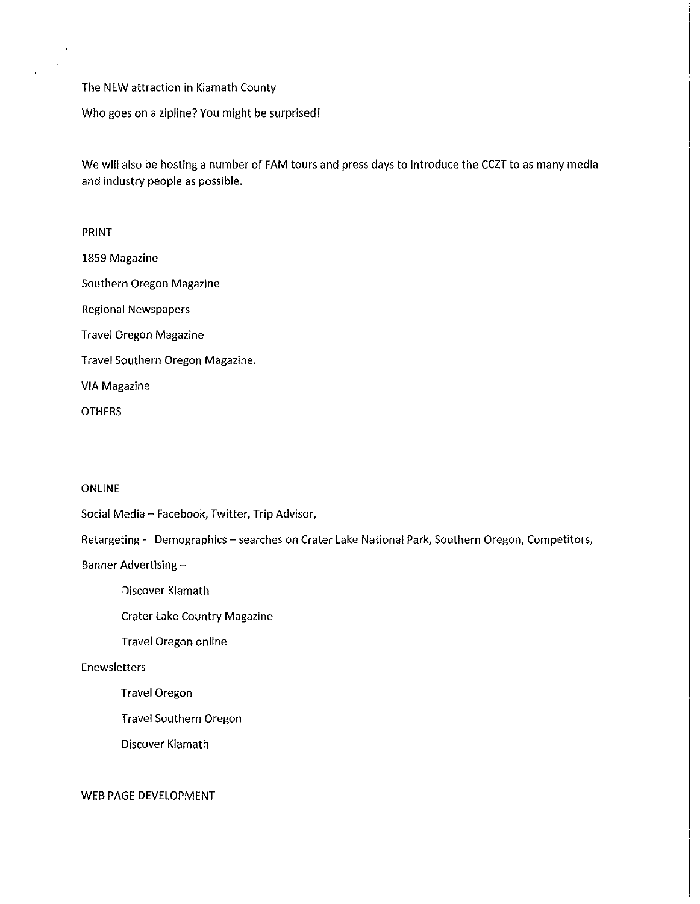The NEW attraction in Klamath County

Who goes on a zipline? You might be surprised!

We will also be hosting a number of FAM tours and press days to introduce the CCZT to as many media and industry people as possible.

# PRINT

1859 Magazine Southern Oregon Magazine

Regional Newspapers

Travel Oregon Magazine

Travel Southern Oregon Magazine.

VIA Magazine

**OTHERS** 

### ONLINE

Social Media- Facebook, Twitter, Trip Advisor,

Retargeting - Demographics - searches on Crater Lake National Park, Southern Oregon, Competitors,

Banner Advertising-

Discover Klamath

Crater Lake Country Magazine

Travel Oregon online

### Enewsletters

Travel Oregon

Travel Southern Oregon

Discover Klamath

WEB PAGE DEVELOPMENT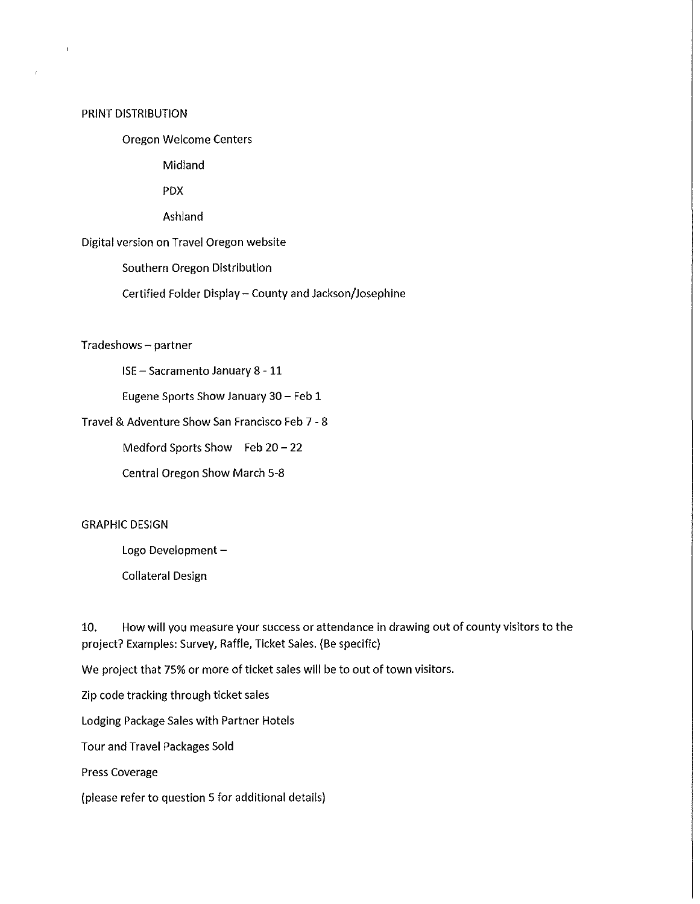#### PRINT DISTRIBUTION

 $\overline{ }$ 

## Oregon Welcome Centers

Midland

PDX

Ashland

Digital version on Travel Oregon website

Southern Oregon Distribution

Certified Folder Display- County and Jackson/Josephine

Tradeshows- partner

ISE- Sacramento January 8- 11

Eugene Sports Show January 30- Feb 1

Travel & Adventure Show San Francisco Feb 7- 8

Medford Sports Show Feb 20- 22

Central Oregon Show March 5-8

### GRAPHIC DESIGN

Logo Development-

Collateral Design

10. How will you measure your success or attendance in drawing out of county visitors to the project? Examples: Survey, Raffle, Ticket Sales. (Be specific)

We project that 75% or more of ticket sales will be to out of town visitors.

Zip code tracking through ticket sales

Lodging Package Sales with Partner Hotels

Tour and Travel Packages Sold

Press Coverage

(please refer to question 5 for additional details)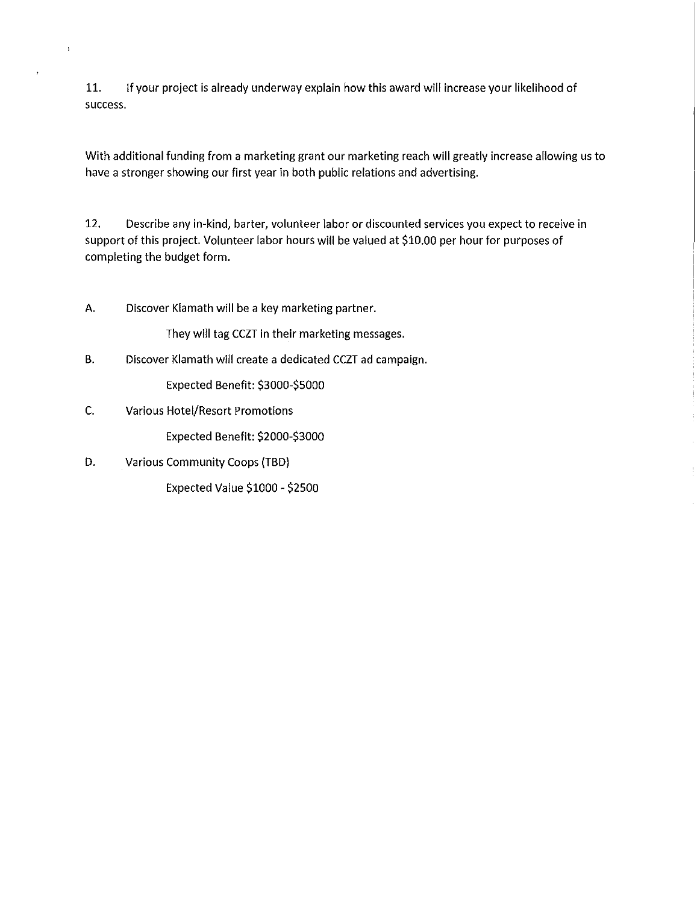11. If your project is already underway explain how this award will increase your likelihood of success.

With additional funding from a marketing grant our marketing reach will greatly increase allowing us to have a stronger showing our first year in both public relations and advertising.

12. Describe any in-kind, barter, volunteer labor or discounted services you expect to receive in support of this project. Volunteer labor hours will be valued at \$10.00 per hour for purposes of completing the budget form.

A. Discover Klamath will be a key marketing partner.

They will tag CCZT in their marketing messages.

B. Discover Klamath will create a dedicated CCZT ad campaign.

Expected Benefit: \$3000-\$5000

C. Various Hotel/Resort Promotions

 $\bar{\bf i}$ 

Expected Benefit: \$2000-\$3000

D. Various Community Coops (TBD}

Expected Value \$1000- \$2500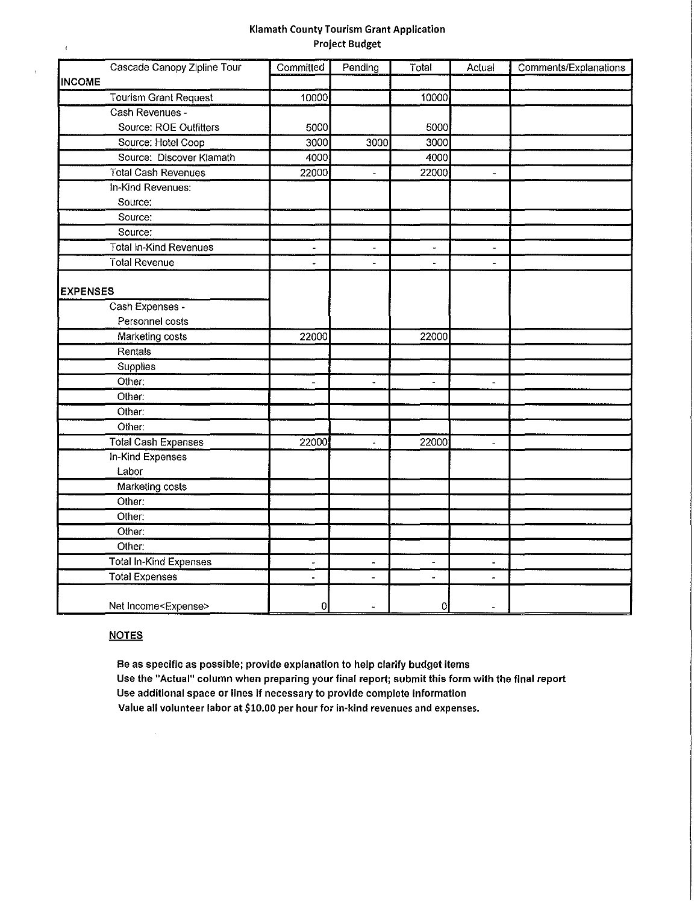#### Klamath County Tourism Grant Application Project Budget

| Cascade Canopy Zipline Tour    | Committed      | Pending                  | Total          | Actual                   | Comments/Explanations |
|--------------------------------|----------------|--------------------------|----------------|--------------------------|-----------------------|
| <b>INCOME</b>                  |                |                          |                |                          |                       |
| <b>Tourism Grant Request</b>   | 10000          |                          | 10000          |                          |                       |
| Cash Revenues -                |                |                          |                |                          |                       |
| Source: ROE Outfitters         | 5000           |                          | 5000           |                          |                       |
| Source: Hotel Coop             | 3000           | 3000                     | 3000           |                          |                       |
| Source: Discover Klamath       | 4000           |                          | 4000           |                          |                       |
| <b>Total Cash Revenues</b>     | 22000          | $\blacksquare$           | 22000          | $\overline{\phantom{a}}$ |                       |
| In-Kind Revenues:              |                |                          |                |                          |                       |
| Source:                        |                |                          |                |                          |                       |
| Source:                        |                |                          |                |                          |                       |
| Source:                        |                |                          |                |                          |                       |
| <b>Total In-Kind Revenues</b>  | ä,             | $\overline{\phantom{a}}$ | à,             | $\overline{\phantom{a}}$ |                       |
| Total Revenue                  |                | $\overline{a}$           | $\blacksquare$ | $\overline{a}$           |                       |
|                                |                |                          |                |                          |                       |
| <b>EXPENSES</b>                |                |                          |                |                          |                       |
| Cash Expenses -                |                |                          |                |                          |                       |
| Personnel costs                |                |                          |                |                          |                       |
| Marketing costs                | 22000          |                          | 22000          |                          |                       |
| Rentals                        |                |                          |                |                          |                       |
| Supplies                       |                |                          |                |                          |                       |
| Other:                         | $\overline{a}$ | $\blacksquare$           | $\frac{1}{2}$  | $\overline{a}$           |                       |
| Other:                         |                |                          |                |                          |                       |
| Other:                         |                |                          |                |                          |                       |
| Other:                         |                |                          |                |                          |                       |
| <b>Total Cash Expenses</b>     | 22000          | ä,                       | 22000          | $\overline{\phantom{a}}$ |                       |
| In-Kind Expenses               |                |                          |                |                          |                       |
| Labor                          |                |                          |                |                          |                       |
| Marketing costs                |                |                          |                |                          |                       |
| Other:                         |                |                          |                |                          |                       |
| Other:                         |                |                          |                |                          |                       |
| Other:                         |                |                          |                |                          |                       |
| Other:                         |                |                          |                |                          |                       |
| Total In-Kind Expenses         |                |                          |                |                          |                       |
| <b>Total Expenses</b>          | ä,             |                          |                | $\overline{a}$           |                       |
| Net Income <expense></expense> | 0              |                          | 0              |                          |                       |

## **NOTES**

 $\epsilon$ 

 $\overline{1}$ 

Be as specific as possible; provide explanation to help clarify budget items Use the "Actual" column when preparing your final report; submit this form with the final report Use additional space or lines if necessary to provide complete information Value all volunteer labor at \$10.00 per hour for In-kind revenues and expenses.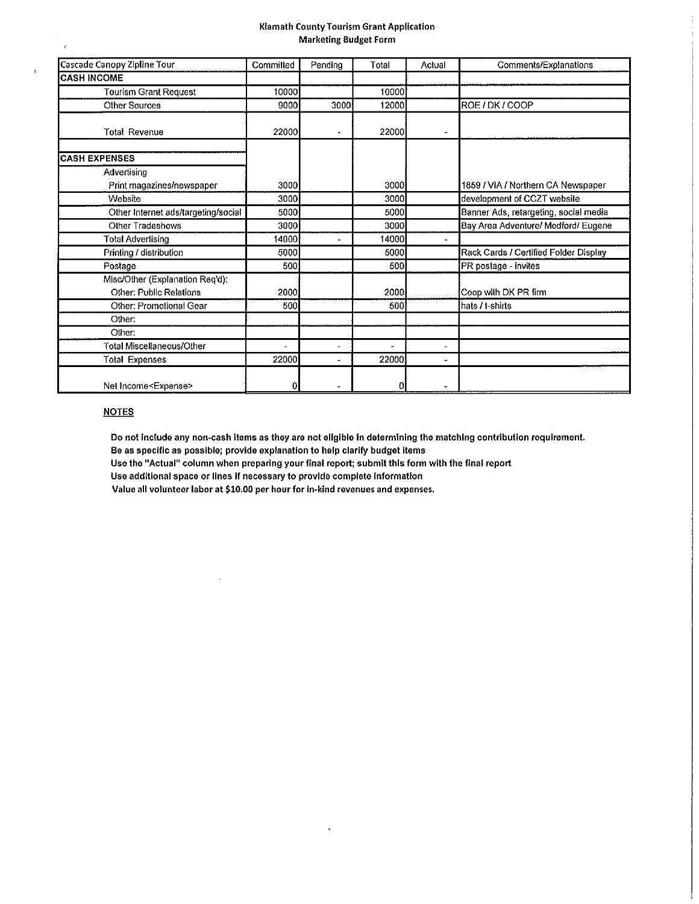#### Klamath County Tourism Grant Application Marketing Budget Form

| Cascade Canopy Zipline Tour                                       | Committed | Pending              | Total          | Actual                   | Comments/Explanations                 |  |
|-------------------------------------------------------------------|-----------|----------------------|----------------|--------------------------|---------------------------------------|--|
| <b>ICASH INCOME</b>                                               |           |                      |                |                          |                                       |  |
| <b>Tourism Grant Request</b>                                      | 10000     |                      | 10000          |                          |                                       |  |
| <b>Other Sources</b>                                              | 9000      | 3000                 | 12000          |                          | ROE / DK / COOP                       |  |
| <b>Total Revenue</b>                                              | 22000     | $\ddot{\phantom{0}}$ | 22000          | $\overline{\phantom{0}}$ |                                       |  |
| <b>CASH EXPENSES</b>                                              |           |                      |                |                          |                                       |  |
| Advertising                                                       |           |                      |                |                          |                                       |  |
| Print magazines/newspaper                                         | 3000      |                      | 3000           |                          | 1859 / VIA / Northern CA Newspaper    |  |
| Website                                                           | 3000      |                      | 3000           |                          | development of CCZT website           |  |
| Other Internet ads/targeting/social                               | 5000      |                      | 5000           |                          | Banner Ads, retargeting, social media |  |
| Other Tradeshows                                                  | 3000      |                      | 3000           |                          | Bay Area Adventure/ Medford/ Eugene   |  |
| <b>Total Advertising</b>                                          | 14000     |                      | 14000          |                          |                                       |  |
| Printing / distribution                                           | 5000      |                      | 5000           |                          | Rack Cards / Certified Folder Display |  |
| Postage                                                           | 500       |                      | 500            |                          | PR postage - invites                  |  |
| Misc/Other (Explanation Req'd):<br><b>Other: Public Relations</b> | 2000      |                      | 2000           |                          | Coop with DK PR firm                  |  |
| Other: Promotional Gear                                           | 500       |                      | 500            |                          | hats / t-shirts                       |  |
| Other:                                                            |           |                      |                |                          |                                       |  |
| Other:                                                            |           |                      |                |                          |                                       |  |
| <b>Total Miscellaneous/Other</b>                                  |           |                      | $\overline{a}$ | $\overline{\phantom{a}}$ |                                       |  |
| <b>Total Expenses</b>                                             | 22000     |                      | 22000          | $\bullet$                |                                       |  |
| Net Income <expense></expense>                                    |           |                      | 0              |                          |                                       |  |

#### **NOTES**

 $\epsilon$ 

 $\bar{t}$ 

Do not Include any non·cash items as they are not eligible In determining the matching contribution requirement.

Be as specific as possible; provide explanation to help clarify budget items

Use the "Actual" column when preparing your final report; submit this form with the final report

 $\ddot{\phantom{a}}$ 

Use additional space or lines if necessary to provide complete Information

 $\ddot{\phantom{a}}$ 

Value all volunteer labor at \$10.00 per hour for ln·kind revenues and expenses.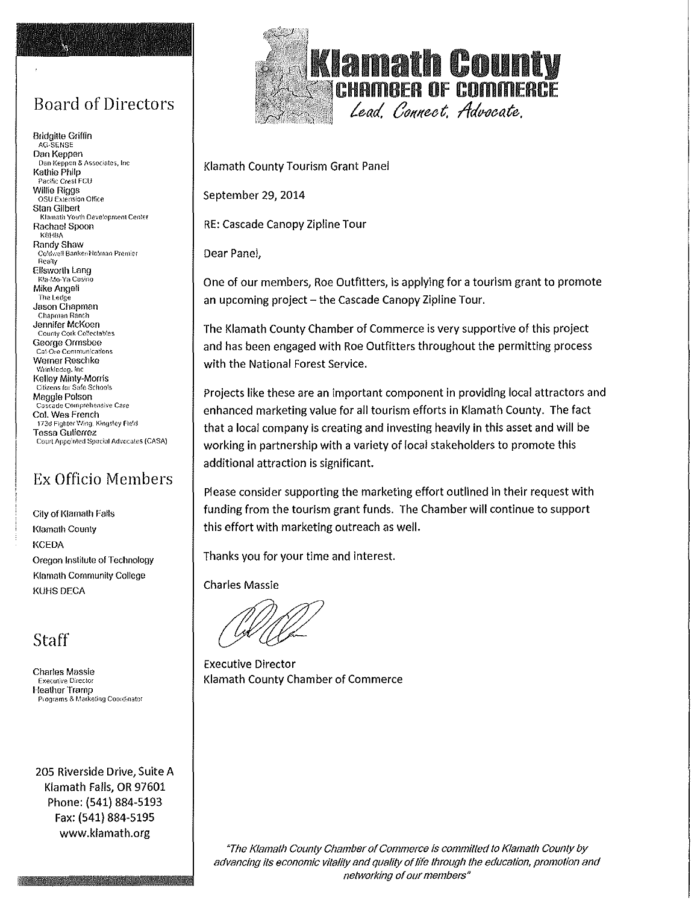# Board of Directors

 $\mathbf{x}_0$ 

**Bridgitte G1iffin** AG-SENSE **Dan Keppen** Dan Keppen & Associates, Inc. **Kathie Philp**  Pacific Crest FCU **Willie Riggs** OSU Extension Office **Stan Gilbert**  Klamath Youth Development Center **Rachael Spoon** K8HBA **Randy Shaw**  Co!d,·;e:l Banker•Ho!rnan Prem:er Realty **Ellsworth Lang**  Kla-I.lo-Ya Casino **Mike Angeli** The Ledge **Jason Chapman**  Chapman Ranch **Jennifer McKoen**  County Cork Coffectables **George Ormsbee** Cal-Ore Communications **Werner Reschke** Wrinkledog. Inc. **Kelley Minty-Monis** Citizens fo1 Safe Schools **Maggie Polson** Cascade Comprehensive Care **Col. Wes French** 173d Fighter Wing. Kingsley Field **Tessa Gutierrez** Court Appo'nted Special Advocates (CASA)

# Ex Officio Members

**City of Klamath Falls Klamath County KCEDA Oregon Institute of Technology Klamath Community College**  KUHS DECA

Staff

**Charles Massie** Executive Diiector **Heather Tramp**  Programs & Marketing Coordinator

205 Riverside Drive, Suite A Klamath Falls, OR 97601 Phone: (541) 884-5193 Fax: (541) 884-5195 www.klamath.org



Klamath County Tourism Grant Panel

September 29, 2014

RE: Cascade Canopy Zipline Tour

Dear Panel,

One of our members, Roe Outfitters, is applying for a tourism grant to promote an upcoming project  $-$  the Cascade Canopy Zipline Tour.

The Klamath County Chamber of Commerce is very supportive of this project and has been engaged with Roe Outfitters throughout the permitting process with the National Forest Service.

Projects like these are an important component in providing local attractors and enhanced marketing value for all tourism efforts in Klamath County. The fact that a local company is creating and investing heavily in this asset and will be working in partnership with a variety of local stakeholders to promote this additional attraction is significant.

Please consider supporting the marketing effort outlined in their request with funding from the tourism grant funds. The Chamber will continue to support this effort with marketing outreach as well.

Thanks you for your time and interest.

Charles Massie

Executive Director Klamath County Chamber of Commerce

"The Klamath County Chamber of Commerce is committed to Klamath County by advancing its economic vitality and quality of life through the education, promotion and networking of our members"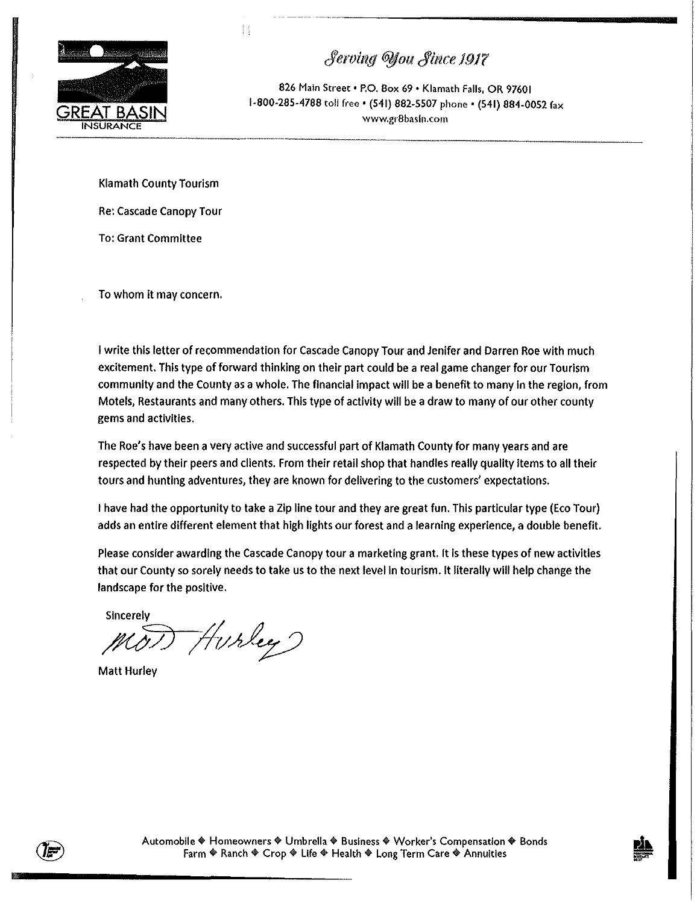

 $Serving$  Vou  $Since$  1917

826 Main Street • P.O. Box 69 • Klamath Falls, OR 97601 1-800-285-4788 toll free • (541) 882-5507 phone • (541) 884-0052 fax **www.gr8basln.<:om** 

Klamath County Tourism

H

Re: Cascade Canopy Tour

To: Grant Committee

To whom it may concern.

I write this letter of recommendation for Cascade Canopy Tour and Jenifer and Darren Roe with much excitement. This type of forward thinking on their part could be a real game changer for our Tourism community and the County as a whole. The financial impact will be a benefit to many In the region, from Motels, Restaurants and many others. This type of activity will be a draw to many of our other county gems and activities.

The Roe's have been a very active and successful part of Klamath County for many years and are respected by their peers and clients. From their retail shop that handles really quality items to all their tours and hunting adventures, they are known for delivering to the customers' expectations.

I have had the opportunity to take a Zip line tour and they are great fun. This particular type (Eco Tour) adds an entire different element that high lights our forest and a learning experience, a double benefit.

Please consider awarding the Cascade Canopy tour a marketing grant. It is these types of new activities that our County so sorely needs to take us to the next level in tourism. It literally will help change the landscape for the positive.

Sincerely

 $M$ 0) Hurley)

Matt Hurley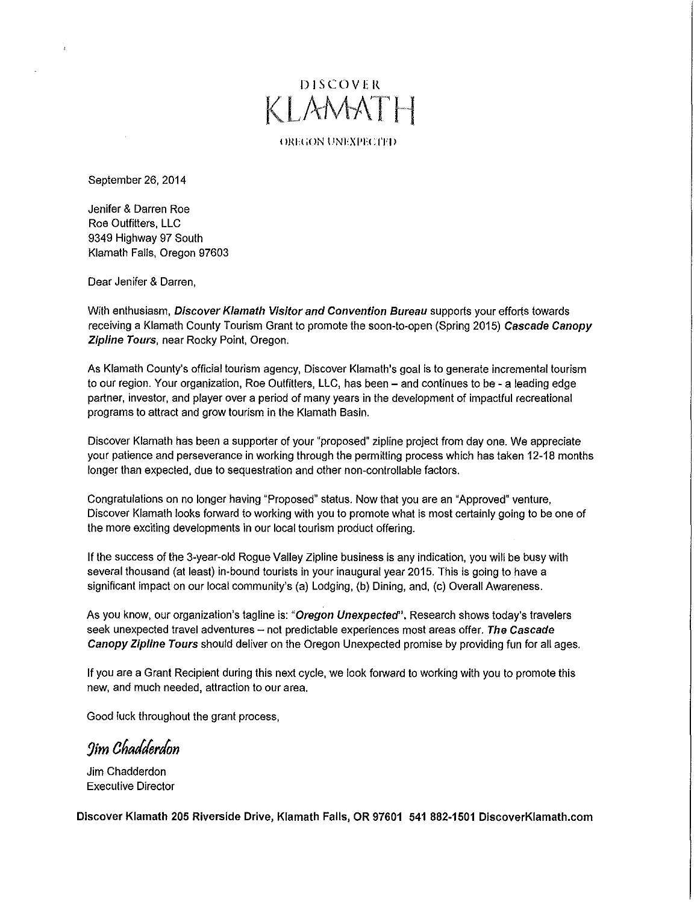# **DISCOVER KLAMATH**

OREGON UNEXPECTED

September 26, 2014

Jenifer & Darren Roe Roe Outfitters, LLC 9349 Highway 97 South Klamath Falls, Oregon 97603

Dear Jenifer & Darren,

With enthusiasm, Discover Klamath Visitor and Convention Bureau supports your efforts towards receiving a Klamath County Tourism Grant to promote the soon-to-open (Spring 2015) Cascade Canopy Zipline Tours, near Rocky Point, Oregon.

As Klamath County's official tourism agency, Discover Klamath's goal is to generate incremental tourism to our region. Your organization, Roe Outfitters, LLC, has been- and continues to be- a leading edge partner, investor, and player over a period of many years in the development of impactful recreational programs to attract and grow tourism in the Klamath Basin.

Discover Klamath has been a supporter of your "proposed" zipline project from day one. We appreciate your patience and perseverance in working through the permitting process which has taken 12-18 months longer than expected, due to sequestration and other non-controllable factors.

Congratulations on no longer having "Proposed" status. Now that you are an "Approved" venture, Discover Klamath looks forward to working with you to promote what is most certainly going to be one of the more exciting developments in our local tourism product offering.

If the success of the 3-year-old Rogue Valley Zipline business is any indication, you will be busy with several thousand (at least) in-bound tourists in your inaugural year 2015. This is going to have a significant impact on our local community's (a) Lodging, (b) Dining, and, (c) Overall Awareness.

As you know, our organization's tagline is: "Oregon Unexpected". Research shows today's travelers seek unexpected travel adventures  $-$  not predictable experiences most areas offer. The Cascade Canopy Zipline Tours should deliver on the Oregon Unexpected promise by providing fun for all ages.

If you are a Grant Recipient during this next cycle, we look forward to working with you to promote this new, and much needed, attraction to our area.

Good luck throughout the grant process,

*9im a6allerlon* 

Jim Chadderdon Executive Director

Discover Klamath 205 Riverside Drive, Klamath Falls, OR 97601 541 882-1501 DiscoverKiamath.com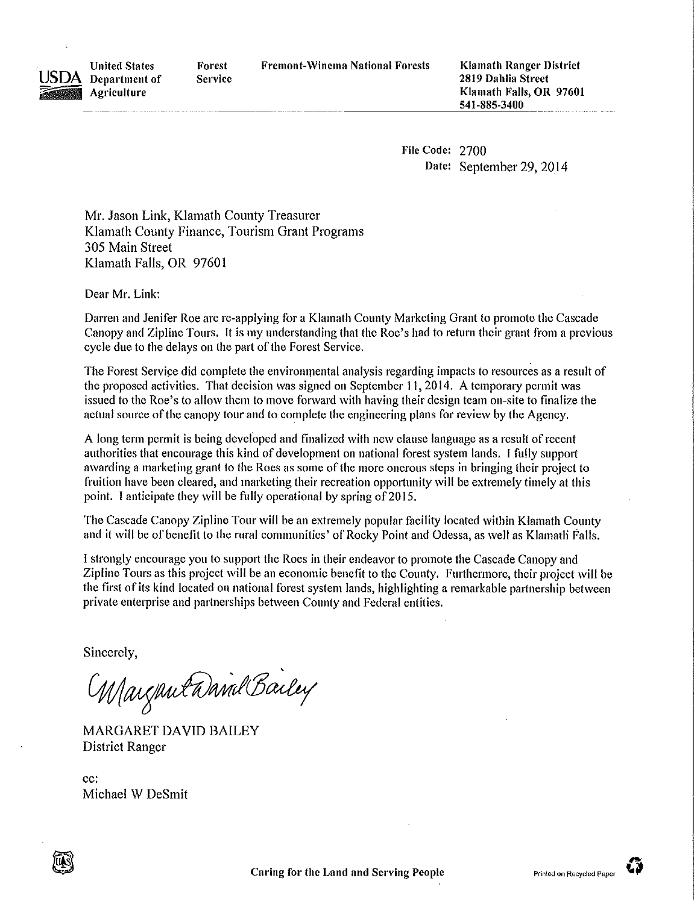Fremont-Winema National Forests Klamath Ranger District



Department of **Forest Service** 

2819 Dahlia Street Klamath Falls, OR 97601 541-885-3400 -- -- ------------=-'--"""--'"':""'\_\_

> File Code: 2700 Date: September 29, 2014

Mr. Jason Link, Klamath County Treasurer Klamath County Finance, Tourism Grant Programs 305 Main Street Klamath Falls, OR 97601

Dear Mr. Link:

United States

**Agriculture** 

Darren and Jenifer Roe are re-applying for a Klamath County Marketing Grant to promote the Cascade Canopy and Zipline Tours. It is my understanding that the Roe's had to return their grant from a previous cycle due to the delays on the part of the Forest Service.

The Forest Service did complete the environmental analysis regarding impacts to resources as a result of the proposed activities. That decision was signed on September 11, 2014. A temporary permit was issued to the Roe's to allow them to move forward with having their design team on-site to finalize the actual source of the canopy tour and to complete the engineering plans for review by the Agency.

A long term permit is being developed and finalized with new clause language as a result of recent authorities that encourage this kind of development on national forest system lands. I fully support awarding a marketing grant to the Roes as some of the more onerous steps in bringing their project to fruition have been cleared, and marketing their recreation opportunity will be extremely timely at this point. I anticipate they will be fully operational by spring of 2015.

The Cascade Canopy Zipline Tour will be an extremely popular facility located within Klamath County and it will be of benefit to the rural communities' of Rocky Point and Odessa, as well as Klamatli Falls.

I strongly encourage you to support the Roes in their endeavor to promote the Cascade Canopy and Zipline Tours as this project will be an economic benefit to the County. Furthermore, their project will be the first of its kind located on national forest system lands, highlighting a remarkable partnership between private enterprise and partnerships between County and Federal entities.

Sincerely,

Margantanind Bailey

MARGARET DAVID BAILEY District Ranger

cc: Michael W DeSmit